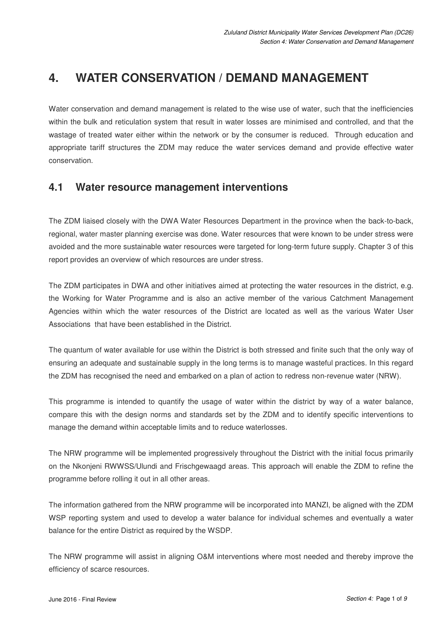# **4. WATER CONSERVATION / DEMAND MANAGEMENT**

Water conservation and demand management is related to the wise use of water, such that the inefficiencies within the bulk and reticulation system that result in water losses are minimised and controlled, and that the wastage of treated water either within the network or by the consumer is reduced. Through education and appropriate tariff structures the ZDM may reduce the water services demand and provide effective water conservation.

# **4.1 Water resource management interventions**

The ZDM liaised closely with the DWA Water Resources Department in the province when the back-to-back, regional, water master planning exercise was done. Water resources that were known to be under stress were avoided and the more sustainable water resources were targeted for long-term future supply. Chapter 3 of this report provides an overview of which resources are under stress.

The ZDM participates in DWA and other initiatives aimed at protecting the water resources in the district, e.g. the Working for Water Programme and is also an active member of the various Catchment Management Agencies within which the water resources of the District are located as well as the various Water User Associations that have been established in the District.

The quantum of water available for use within the District is both stressed and finite such that the only way of ensuring an adequate and sustainable supply in the long terms is to manage wasteful practices. In this regard the ZDM has recognised the need and embarked on a plan of action to redress non-revenue water (NRW).

This programme is intended to quantify the usage of water within the district by way of a water balance, compare this with the design norms and standards set by the ZDM and to identify specific interventions to manage the demand within acceptable limits and to reduce waterlosses.

The NRW programme will be implemented progressively throughout the District with the initial focus primarily on the Nkonjeni RWWSS/Ulundi and Frischgewaagd areas. This approach will enable the ZDM to refine the programme before rolling it out in all other areas.

The information gathered from the NRW programme will be incorporated into MANZI, be aligned with the ZDM WSP reporting system and used to develop a water balance for individual schemes and eventually a water balance for the entire District as required by the WSDP.

The NRW programme will assist in aligning O&M interventions where most needed and thereby improve the efficiency of scarce resources.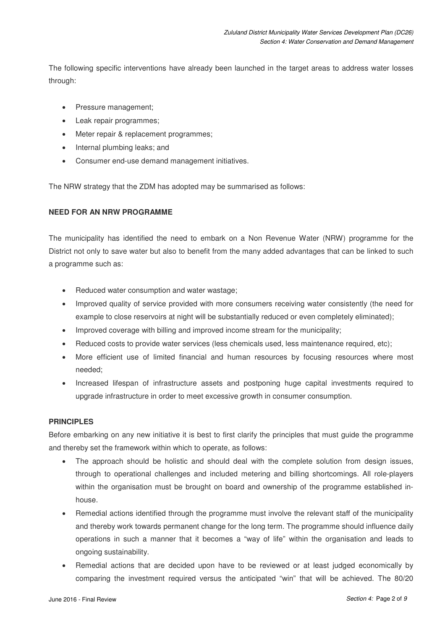The following specific interventions have already been launched in the target areas to address water losses through:

- Pressure management;
- Leak repair programmes;
- Meter repair & replacement programmes;
- Internal plumbing leaks; and
- Consumer end-use demand management initiatives.

The NRW strategy that the ZDM has adopted may be summarised as follows:

#### **NEED FOR AN NRW PROGRAMME**

The municipality has identified the need to embark on a Non Revenue Water (NRW) programme for the District not only to save water but also to benefit from the many added advantages that can be linked to such a programme such as:

- Reduced water consumption and water wastage;
- Improved quality of service provided with more consumers receiving water consistently (the need for example to close reservoirs at night will be substantially reduced or even completely eliminated);
- Improved coverage with billing and improved income stream for the municipality;
- Reduced costs to provide water services (less chemicals used, less maintenance required, etc);
- More efficient use of limited financial and human resources by focusing resources where most needed;
- Increased lifespan of infrastructure assets and postponing huge capital investments required to upgrade infrastructure in order to meet excessive growth in consumer consumption.

#### **PRINCIPLES**

Before embarking on any new initiative it is best to first clarify the principles that must guide the programme and thereby set the framework within which to operate, as follows:

- The approach should be holistic and should deal with the complete solution from design issues, through to operational challenges and included metering and billing shortcomings. All role-players within the organisation must be brought on board and ownership of the programme established inhouse.
- Remedial actions identified through the programme must involve the relevant staff of the municipality and thereby work towards permanent change for the long term. The programme should influence daily operations in such a manner that it becomes a "way of life" within the organisation and leads to ongoing sustainability.
- Remedial actions that are decided upon have to be reviewed or at least judged economically by comparing the investment required versus the anticipated "win" that will be achieved. The 80/20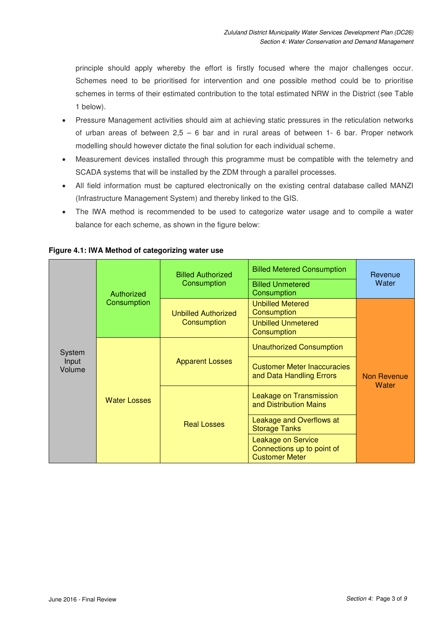principle should apply whereby the effort is firstly focused where the major challenges occur. Schemes need to be prioritised for intervention and one possible method could be to prioritise schemes in terms of their estimated contribution to the total estimated NRW in the District (see Table 1 below).

- Pressure Management activities should aim at achieving static pressures in the reticulation networks of urban areas of between 2,5 – 6 bar and in rural areas of between 1- 6 bar. Proper network modelling should however dictate the final solution for each individual scheme.
- Measurement devices installed through this programme must be compatible with the telemetry and SCADA systems that will be installed by the ZDM through a parallel processes.
- All field information must be captured electronically on the existing central database called MANZI (Infrastructure Management System) and thereby linked to the GIS.
- The IWA method is recommended to be used to categorize water usage and to compile a water balance for each scheme, as shown in the figure below:

| System<br>Input<br>Volume | Authorized<br>Consumption | <b>Billed Authorized</b><br>Consumption   | <b>Billed Metered Consumption</b><br><b>Billed Unmetered</b><br>Consumption | Revenue<br>Water            |
|---------------------------|---------------------------|-------------------------------------------|-----------------------------------------------------------------------------|-----------------------------|
|                           |                           | <b>Unbilled Authorized</b><br>Consumption | <b>Unbilled Metered</b><br>Consumption                                      | Non Revenue<br><b>Water</b> |
|                           |                           |                                           | <b>Unbilled Unmetered</b><br>Consumption                                    |                             |
|                           | <b>Water Losses</b>       | <b>Apparent Losses</b>                    | <b>Unauthorized Consumption</b>                                             |                             |
|                           |                           |                                           | <b>Customer Meter Inaccuracies</b><br>and Data Handling Errors              |                             |
|                           |                           | <b>Real Losses</b>                        | Leakage on Transmission<br>and Distribution Mains                           |                             |
|                           |                           |                                           | Leakage and Overflows at<br><b>Storage Tanks</b>                            |                             |
|                           |                           |                                           | Leakage on Service<br>Connections up to point of<br><b>Customer Meter</b>   |                             |

 **Figure 4.1: IWA Method of categorizing water use**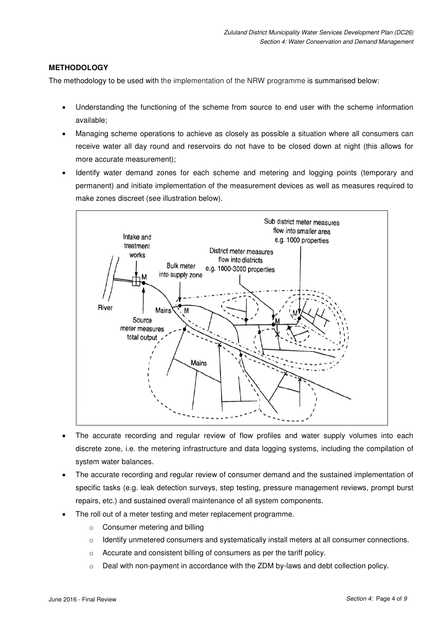#### **METHODOLOGY**

The methodology to be used with the implementation of the NRW programme is summarised below:

- Understanding the functioning of the scheme from source to end user with the scheme information available;
- Managing scheme operations to achieve as closely as possible a situation where all consumers can receive water all day round and reservoirs do not have to be closed down at night (this allows for more accurate measurement);
- Identify water demand zones for each scheme and metering and logging points (temporary and permanent) and initiate implementation of the measurement devices as well as measures required to make zones discreet (see illustration below).



- The accurate recording and regular review of flow profiles and water supply volumes into each discrete zone, i.e. the metering infrastructure and data logging systems, including the compilation of system water balances.
- The accurate recording and regular review of consumer demand and the sustained implementation of specific tasks (e.g. leak detection surveys, step testing, pressure management reviews, prompt burst repairs, etc.) and sustained overall maintenance of all system components.
- The roll out of a meter testing and meter replacement programme.
	- o Consumer metering and billing
	- $\circ$  Identify unmetered consumers and systematically install meters at all consumer connections.
	- o Accurate and consistent billing of consumers as per the tariff policy.
	- $\circ$  Deal with non-payment in accordance with the ZDM by-laws and debt collection policy.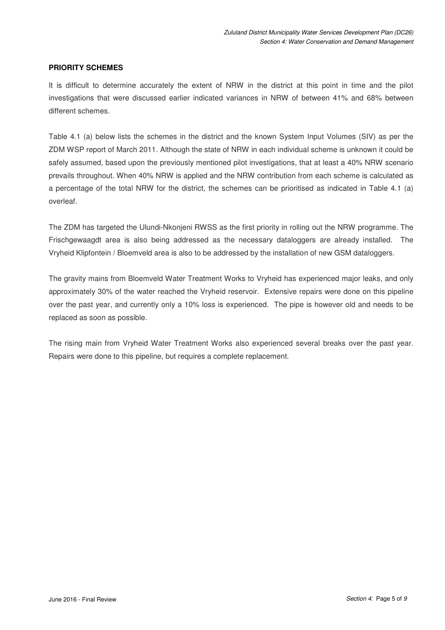#### **PRIORITY SCHEMES**

It is difficult to determine accurately the extent of NRW in the district at this point in time and the pilot investigations that were discussed earlier indicated variances in NRW of between 41% and 68% between different schemes.

Table 4.1 (a) below lists the schemes in the district and the known System Input Volumes (SIV) as per the ZDM WSP report of March 2011. Although the state of NRW in each individual scheme is unknown it could be safely assumed, based upon the previously mentioned pilot investigations, that at least a 40% NRW scenario prevails throughout. When 40% NRW is applied and the NRW contribution from each scheme is calculated as a percentage of the total NRW for the district, the schemes can be prioritised as indicated in Table 4.1 (a) overleaf.

The ZDM has targeted the Ulundi-Nkonjeni RWSS as the first priority in rolling out the NRW programme. The Frischgewaagdt area is also being addressed as the necessary dataloggers are already installed. The Vryheid Klipfontein / Bloemveld area is also to be addressed by the installation of new GSM dataloggers.

The gravity mains from Bloemveld Water Treatment Works to Vryheid has experienced major leaks, and only approximately 30% of the water reached the Vryheid reservoir. Extensive repairs were done on this pipeline over the past year, and currently only a 10% loss is experienced. The pipe is however old and needs to be replaced as soon as possible.

The rising main from Vryheid Water Treatment Works also experienced several breaks over the past year. Repairs were done to this pipeline, but requires a complete replacement.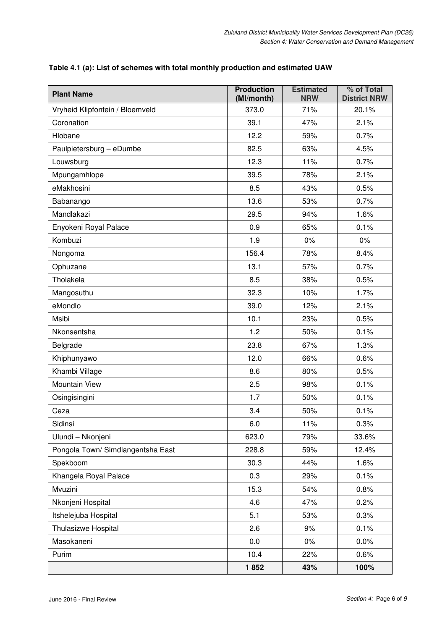| <b>Plant Name</b>                 | <b>Production</b><br>(MI/month) | <b>Estimated</b><br><b>NRW</b> | % of Total<br><b>District NRW</b> |
|-----------------------------------|---------------------------------|--------------------------------|-----------------------------------|
| Vryheid Klipfontein / Bloemveld   | 373.0                           | 71%                            | 20.1%                             |
| Coronation                        | 39.1                            | 47%                            | 2.1%                              |
| Hlobane                           | 12.2                            | 59%                            | 0.7%                              |
| Paulpietersburg - eDumbe          | 82.5                            | 63%                            | 4.5%                              |
| Louwsburg                         | 12.3                            | 11%                            | 0.7%                              |
| Mpungamhlope                      | 39.5                            | 78%                            | 2.1%                              |
| eMakhosini                        | 8.5                             | 43%                            | 0.5%                              |
| Babanango                         | 13.6                            | 53%                            | 0.7%                              |
| Mandlakazi                        | 29.5                            | 94%                            | 1.6%                              |
| Enyokeni Royal Palace             | 0.9                             | 65%                            | 0.1%                              |
| Kombuzi                           | 1.9                             | 0%                             | $0\%$                             |
| Nongoma                           | 156.4                           | 78%                            | 8.4%                              |
| Ophuzane                          | 13.1                            | 57%                            | 0.7%                              |
| Tholakela                         | 8.5                             | 38%                            | 0.5%                              |
| Mangosuthu                        | 32.3                            | 10%                            | 1.7%                              |
| eMondlo                           | 39.0                            | 12%                            | 2.1%                              |
| Msibi                             | 10.1                            | 23%                            | 0.5%                              |
| Nkonsentsha                       | 1.2                             | 50%                            | 0.1%                              |
| Belgrade                          | 23.8                            | 67%                            | 1.3%                              |
| Khiphunyawo                       | 12.0                            | 66%                            | 0.6%                              |
| Khambi Village                    | 8.6                             | 80%                            | 0.5%                              |
| Mountain View                     | 2.5                             | 98%                            | 0.1%                              |
| Osingisingini                     | 1.7                             | 50%                            | 0.1%                              |
| Ceza                              | 3.4                             | 50%                            | 0.1%                              |
| Sidinsi                           | 6.0                             | 11%                            | 0.3%                              |
| Ulundi - Nkonjeni                 | 623.0                           | 79%                            | 33.6%                             |
| Pongola Town/ Simdlangentsha East | 228.8                           | 59%                            | 12.4%                             |
| Spekboom                          | 30.3                            | 44%                            | 1.6%                              |
| Khangela Royal Palace             | 0.3                             | 29%                            | 0.1%                              |
| Mvuzini                           | 15.3                            | 54%                            | 0.8%                              |
| Nkonjeni Hospital                 | 4.6                             | 47%                            | 0.2%                              |
| Itshelejuba Hospital              | 5.1                             | 53%                            | 0.3%                              |
| Thulasizwe Hospital               | 2.6                             | 9%                             | 0.1%                              |
| Masokaneni                        | 0.0                             | $0\%$                          | 0.0%                              |
| Purim                             | 10.4                            | 22%                            | 0.6%                              |
|                                   | 1852                            | 43%                            | 100%                              |

### **Table 4.1 (a): List of schemes with total monthly production and estimated UAW**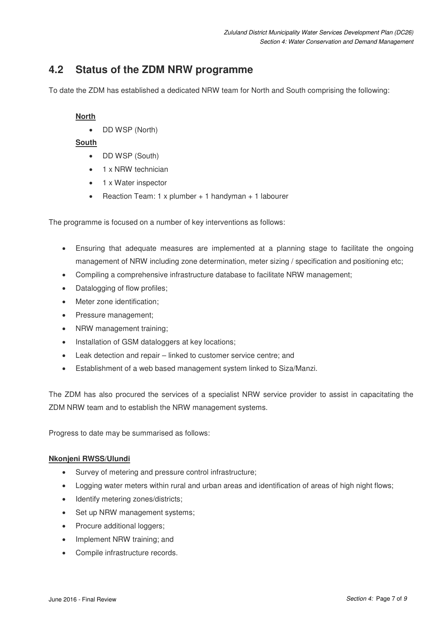# **4.2 Status of the ZDM NRW programme**

To date the ZDM has established a dedicated NRW team for North and South comprising the following:

#### **North**

• DD WSP (North)

#### **South**

- DD WSP (South)
- 1 x NRW technician
- 1 x Water inspector
- Reaction Team: 1 x plumber + 1 handyman + 1 labourer

The programme is focused on a number of key interventions as follows:

- Ensuring that adequate measures are implemented at a planning stage to facilitate the ongoing management of NRW including zone determination, meter sizing / specification and positioning etc;
- Compiling a comprehensive infrastructure database to facilitate NRW management;
- Datalogging of flow profiles;
- Meter zone identification;
- Pressure management;
- NRW management training;
- Installation of GSM dataloggers at key locations;
- Leak detection and repair linked to customer service centre; and
- Establishment of a web based management system linked to Siza/Manzi.

The ZDM has also procured the services of a specialist NRW service provider to assist in capacitating the ZDM NRW team and to establish the NRW management systems.

Progress to date may be summarised as follows:

#### **Nkonjeni RWSS/Ulundi**

- Survey of metering and pressure control infrastructure;
- Logging water meters within rural and urban areas and identification of areas of high night flows;
- Identify metering zones/districts;
- Set up NRW management systems:
- Procure additional loggers;
- Implement NRW training; and
- Compile infrastructure records.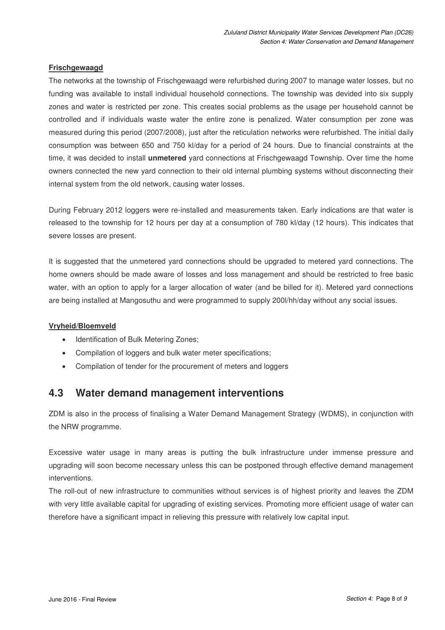#### **Frischgewaagd**

The networks at the township of Frischgewaagd were refurbished during 2007 to manage water losses, but no funding was available to install individual household connections. The township was devided into six supply zones and water is restricted per zone. This creates social problems as the usage per household cannot be controlled and if individuals waste water the entire zone is penalized. Water consumption per zone was measured during this period (2007/2008), just after the reticulation networks were refurbished. The initial daily consumption was between 650 and 750 kl/day for a period of 24 hours. Due to financial constraints at the time, it was decided to install **unmetered** yard connections at Frischgewaagd Township. Over time the home owners connected the new yard connection to their old internal plumbing systems without disconnecting their internal system from the old network, causing water losses.

During February 2012 loggers were re-installed and measurements taken. Early indications are that water is released to the township for 12 hours per day at a consumption of 780 kl/day (12 hours). This indicates that severe losses are present.

It is suggested that the unmetered yard connections should be upgraded to metered yard connections. The home owners should be made aware of losses and loss management and should be restricted to free basic water, with an option to apply for a larger allocation of water (and be billed for it). Metered yard connections are being installed at Mangosuthu and were programmed to supply 200l/hh/day without any social issues.

#### **Vryheid/Bloemveld**

- Identification of Bulk Metering Zones;
- Compilation of loggers and bulk water meter specifications;
- Compilation of tender for the procurement of meters and loggers

# **4.3 Water demand management interventions**

ZDM is also in the process of finalising a Water Demand Management Strategy (WDMS), in conjunction with the NRW programme.

Excessive water usage in many areas is putting the bulk infrastructure under immense pressure and upgrading will soon become necessary unless this can be postponed through effective demand management interventions.

The roll-out of new infrastructure to communities without services is of highest priority and leaves the ZDM with very little available capital for upgrading of existing services. Promoting more efficient usage of water can therefore have a significant impact in relieving this pressure with relatively low capital input.